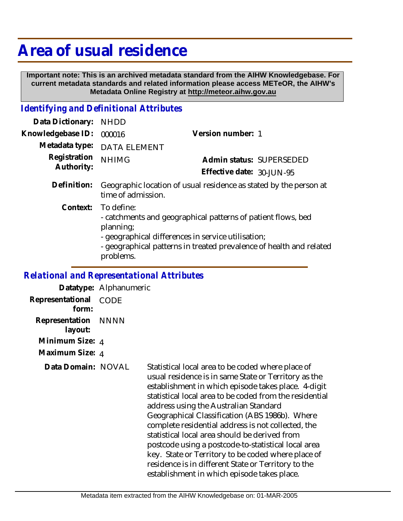# **Area of usual residence**

 **Important note: This is an archived metadata standard from the AIHW Knowledgebase. For current metadata standards and related information please access METeOR, the AIHW's Metadata Online Registry at http://meteor.aihw.gov.au**

## *Identifying and Definitional Attributes*

| Data Dictionary:                             | <b>NHDD</b>                                                                                                                                                                                                                       |                           |                          |
|----------------------------------------------|-----------------------------------------------------------------------------------------------------------------------------------------------------------------------------------------------------------------------------------|---------------------------|--------------------------|
| Knowledgebase ID:                            | 000016                                                                                                                                                                                                                            | Version number: 1         |                          |
| Metadata type:<br>Registration<br>Authority: | <b>DATA ELEMENT</b>                                                                                                                                                                                                               |                           |                          |
|                                              | <b>NHIMG</b>                                                                                                                                                                                                                      |                           | Admin status: SUPERSEDED |
|                                              |                                                                                                                                                                                                                                   | Effective date: 30-JUN-95 |                          |
| Definition:                                  | Geographic location of usual residence as stated by the person at<br>time of admission.                                                                                                                                           |                           |                          |
| Context:                                     | To define:<br>- catchments and geographical patterns of patient flows, bed<br>planning;<br>- geographical differences in service utilisation;<br>- geographical patterns in treated prevalence of health and related<br>problems. |                           |                          |

#### *Relational and Representational Attributes*

**Datatype:** Alphanumeric **Representational** CODE  **form: Representation** NNNN  **layout: Minimum Size:** 4 **Maximum Size:** 4 **Data Domain:**

Statistical local area to be coded where place of usual residence is in same State or Territory as the establishment in which episode takes place. 4-digit statistical local area to be coded from the residential address using the Australian Standard Geographical Classification (ABS 1986b). Where complete residential address is not collected, the statistical local area should be derived from postcode using a postcode-to-statistical local area key. State or Territory to be coded where place of residence is in different State or Territory to the establishment in which episode takes place.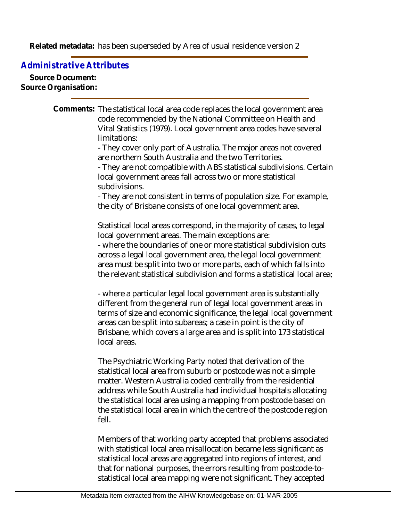Related metadata: has been superseded by Area of usual residence version 2

### *Administrative Attributes*

**Source Document: Source Organisation:**

> Comments: The statistical local area code replaces the local government area code recommended by the National Committee on Health and Vital Statistics (1979). Local government area codes have several limitations:

- They cover only part of Australia. The major areas not covered are northern South Australia and the two Territories.

- They are not compatible with ABS statistical subdivisions. Certain local government areas fall across two or more statistical subdivisions.

- They are not consistent in terms of population size. For example, the city of Brisbane consists of one local government area.

Statistical local areas correspond, in the majority of cases, to legal local government areas. The main exceptions are:

- where the boundaries of one or more statistical subdivision cuts across a legal local government area, the legal local government area must be split into two or more parts, each of which falls into the relevant statistical subdivision and forms a statistical local area;

- where a particular legal local government area is substantially different from the general run of legal local government areas in terms of size and economic significance, the legal local government areas can be split into subareas; a case in point is the city of Brisbane, which covers a large area and is split into 173 statistical local areas.

The Psychiatric Working Party noted that derivation of the statistical local area from suburb or postcode was not a simple matter. Western Australia coded centrally from the residential address while South Australia had individual hospitals allocating the statistical local area using a mapping from postcode based on the statistical local area in which the centre of the postcode region fell.

Members of that working party accepted that problems associated with statistical local area misallocation became less significant as statistical local areas are aggregated into regions of interest, and that for national purposes, the errors resulting from postcode-tostatistical local area mapping were not significant. They accepted